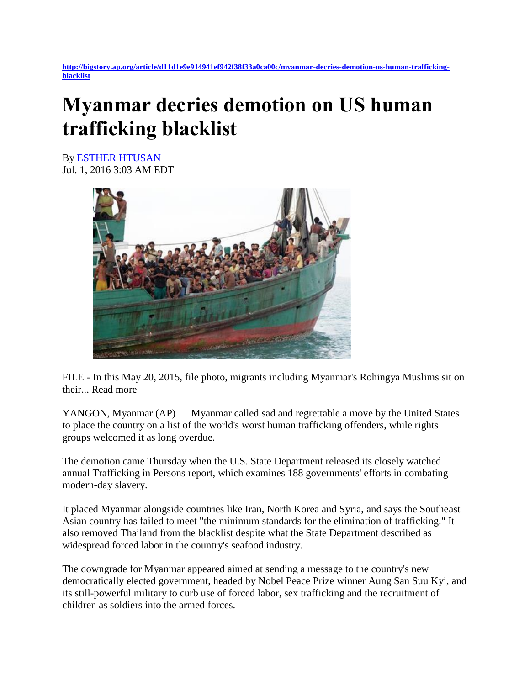**[http://bigstory.ap.org/article/d11d1e9e914941ef942f38f33a0ca00c/myanmar-decries-demotion-us-human-trafficking](http://bigstory.ap.org/article/d11d1e9e914941ef942f38f33a0ca00c/myanmar-decries-demotion-us-human-trafficking-blacklist)[blacklist](http://bigstory.ap.org/article/d11d1e9e914941ef942f38f33a0ca00c/myanmar-decries-demotion-us-human-trafficking-blacklist)**

## **Myanmar decries demotion on US human trafficking blacklist**

By [ESTHER HTUSAN](http://bigstory.ap.org/journalist/esther-htusan) Jul. 1, 2016 3:03 AM EDT



FILE - In this May 20, 2015, file photo, migrants including Myanmar's Rohingya Muslims sit on their... Read more

YANGON, Myanmar (AP) — Myanmar called sad and regrettable a move by the United States to place the country on a list of the world's worst human trafficking offenders, while rights groups welcomed it as long overdue.

The demotion came Thursday when the U.S. State Department released its closely watched annual Trafficking in Persons report, which examines 188 governments' efforts in combating modern-day slavery.

It placed Myanmar alongside countries like Iran, North Korea and Syria, and says the Southeast Asian country has failed to meet "the minimum standards for the elimination of trafficking." It also removed Thailand from the blacklist despite what the State Department described as widespread forced labor in the country's seafood industry.

The downgrade for Myanmar appeared aimed at sending a message to the country's new democratically elected government, headed by Nobel Peace Prize winner Aung San Suu Kyi, and its still-powerful military to curb use of forced labor, sex trafficking and the recruitment of children as soldiers into the armed forces.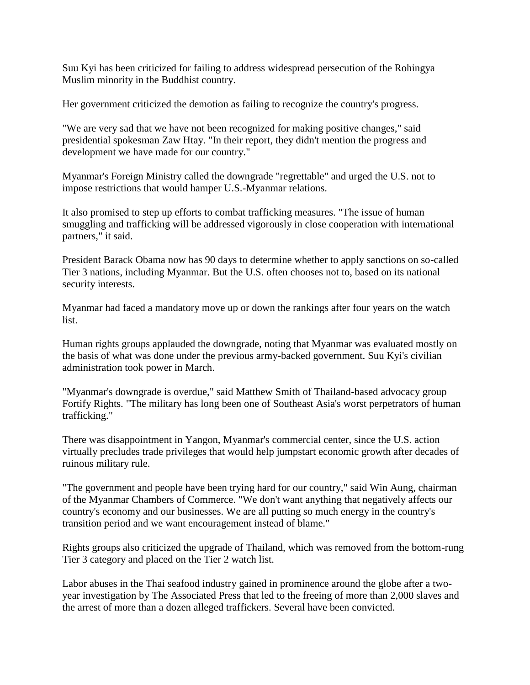Suu Kyi has been criticized for failing to address widespread persecution of the Rohingya Muslim minority in the Buddhist country.

Her government criticized the demotion as failing to recognize the country's progress.

"We are very sad that we have not been recognized for making positive changes," said presidential spokesman Zaw Htay. "In their report, they didn't mention the progress and development we have made for our country."

Myanmar's Foreign Ministry called the downgrade "regrettable" and urged the U.S. not to impose restrictions that would hamper U.S.-Myanmar relations.

It also promised to step up efforts to combat trafficking measures. "The issue of human smuggling and trafficking will be addressed vigorously in close cooperation with international partners," it said.

President Barack Obama now has 90 days to determine whether to apply sanctions on so-called Tier 3 nations, including Myanmar. But the U.S. often chooses not to, based on its national security interests.

Myanmar had faced a mandatory move up or down the rankings after four years on the watch list.

Human rights groups applauded the downgrade, noting that Myanmar was evaluated mostly on the basis of what was done under the previous army-backed government. Suu Kyi's civilian administration took power in March.

"Myanmar's downgrade is overdue," said Matthew Smith of Thailand-based advocacy group Fortify Rights. "The military has long been one of Southeast Asia's worst perpetrators of human trafficking."

There was disappointment in Yangon, Myanmar's commercial center, since the U.S. action virtually precludes trade privileges that would help jumpstart economic growth after decades of ruinous military rule.

"The government and people have been trying hard for our country," said Win Aung, chairman of the Myanmar Chambers of Commerce. "We don't want anything that negatively affects our country's economy and our businesses. We are all putting so much energy in the country's transition period and we want encouragement instead of blame."

Rights groups also criticized the upgrade of Thailand, which was removed from the bottom-rung Tier 3 category and placed on the Tier 2 watch list.

Labor abuses in the Thai seafood industry gained in prominence around the globe after a twoyear investigation by The Associated Press that led to the freeing of more than 2,000 slaves and the arrest of more than a dozen alleged traffickers. Several have been convicted.